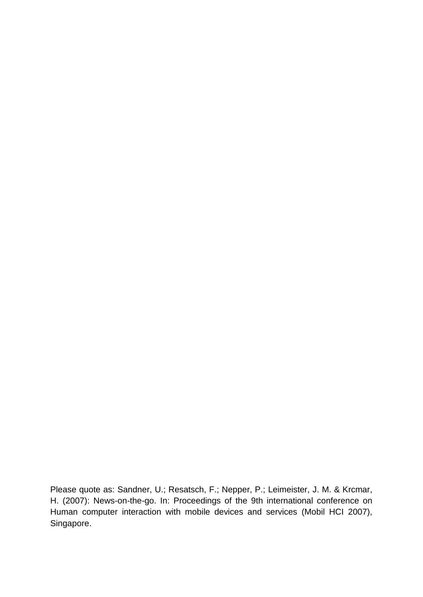Please quote as: Sandner, U.; Resatsch, F.; Nepper, P.; Leimeister, J. M. & Krcmar, H. (2007): News-on-the-go. In: Proceedings of the 9th international conference on Human computer interaction with mobile devices and services (Mobil HCI 2007), Singapore.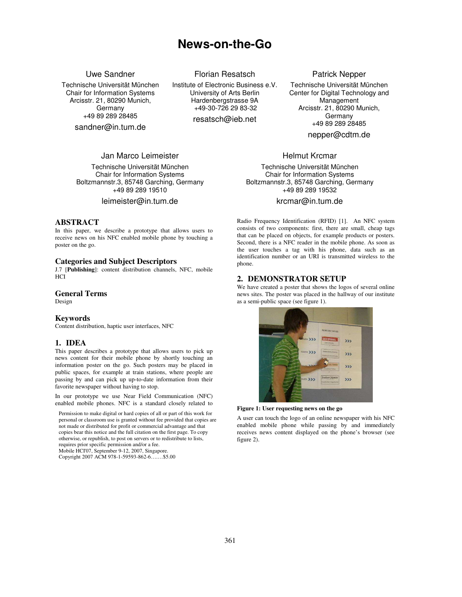# **News-on-the-Go**

## Uwe Sandner

Technische Universität München Chair for Information Systems Arcisstr. 21, 80290 Munich, **Germany** +49 89 289 28485

sandner@in.tum.de

Florian Resatsch

Institute of Electronic Business e.V. University of Arts Berlin Hardenbergstrasse 9A +49-30-726 29 83-32

resatsch@ieb.net

# Patrick Nepper

Technische Universität München Center for Digital Technology and Management Arcisstr. 21, 80290 Munich, Germany +49 89 289 28485

nepper@cdtm.de

# Helmut Krcmar

Technische Universität München Chair for Information Systems Boltzmannstr.3, 85748 Garching, Germany +49 89 289 19532

krcmar@in.tum.de

Radio Frequency Identification (RFID) [1]. An NFC system consists of two components: first, there are small, cheap tags that can be placed on objects, for example products or posters. Second, there is a NFC reader in the mobile phone. As soon as the user touches a tag with his phone, data such as an identification number or an URI is transmitted wireless to the phone.

#### **2. DEMONSTRATOR SETUP**

We have created a poster that shows the logos of several online news sites. The poster was placed in the hallway of our institute as a semi-public space (see figure 1).



**Figure 1: User requesting news on the go** 

A user can touch the logo of an online newspaper with his NFC enabled mobile phone while passing by and immediately receives news content displayed on the phone's browser (see figure 2).

# Jan Marco Leimeister

Technische Universität München Chair for Information Systems Boltzmannstr.3, 85748 Garching, Germany +49 89 289 19510

leimeister@in.tum.de

#### **ABSTRACT**

In this paper, we describe a prototype that allows users to receive news on his NFC enabled mobile phone by touching a poster on the go.

### **Categories and Subject Descriptors**

J.7 [**Publishing**]: content distribution channels, NFC, mobile **HCI** 

# **General Terms**

Design

#### **Keywords**

Content distribution, haptic user interfaces, NFC

#### **1. IDEA**

This paper describes a prototype that allows users to pick up news content for their mobile phone by shortly touching an information poster on the go. Such posters may be placed in public spaces, for example at train stations, where people are passing by and can pick up up-to-date information from their favorite newspaper without having to stop.

In our prototype we use Near Field Communication (NFC) enabled mobile phones. NFC is a standard closely related to

Permission to make digital or hard copies of all or part of this work for personal or classroom use is granted without fee provided that copies are not made or distributed for profit or commercial advantage and that copies bear this notice and the full citation on the first page. To copy otherwise, or republish, to post on servers or to redistribute to lists, requires prior specific permission and/or a fee. Mobile HCI'07, September 9-12, 2007, Singapore. Copyright 2007 ACM 978-1-59593-862-6….…\$5.00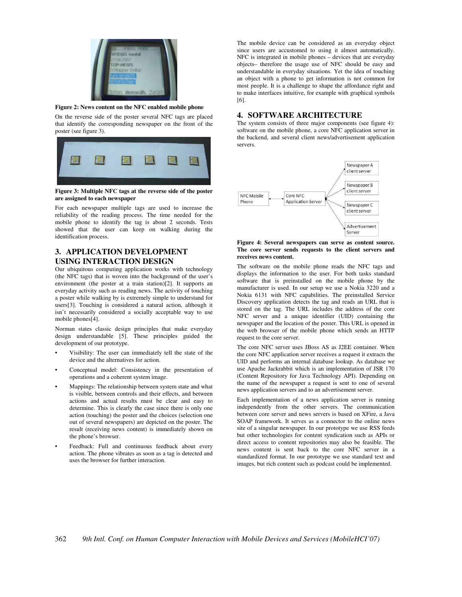**Figure 2: News content on the NFC enabled mobile phone** 

On the reverse side of the poster several NFC tags are placed that identify the corresponding newspaper on the front of the poster (see figure 3).



**Figure 3: Multiple NFC tags at the reverse side of the poster are assigned to each newspaper** 

For each newspaper multiple tags are used to increase the reliability of the reading process. The time needed for the mobile phone to identify the tag is about 2 seconds. Tests showed that the user can keep on walking during the identification process.

# **3. APPLICATION DEVELOPMENT USING INTERACTION DESIGN**

Our ubiquitous computing application works with technology (the NFC tags) that is woven into the background of the user's environment (the poster at a train station)[2]. It supports an everyday activity such as reading news. The activity of touching a poster while walking by is extremely simple to understand for users[3]. Touching is considered a natural action, although it isn't necessarily considered a socially acceptable way to use mobile phones[4].

Norman states classic design principles that make everyday design understandable [5]. These principles guided the development of our prototype.

- Visibility: The user can immediately tell the state of the device and the alternatives for action.
- Conceptual model: Consistency in the presentation of operations and a coherent system image.
- Mappings: The relationship between system state and what is visible, between controls and their effects, and between actions and actual results must be clear and easy to determine. This is clearly the case since there is only one action (touching) the poster and the choices (selection one out of several newspapers) are depicted on the poster. The result (receiving news content) is immediately shown on the phone's browser.
- Feedback: Full and continuous feedback about every action. The phone vibrates as soon as a tag is detected and uses the browser for further interaction.

The mobile device can be considered as an everyday object since users are accustomed to using it almost automatically. NFC is integrated in mobile phones – devices that are everyday objects– therefore the usage use of NFC should be easy and understandable in everyday situations. Yet the idea of touching an object with a phone to get information is not common for most people. It is a challenge to shape the affordance right and to make interfaces intuitive, for example with graphical symbols [6].

### **4. SOFTWARE ARCHITECTURE**

The system consists of three major components (see figure 4): software on the mobile phone, a core NFC application server in the backend, and several client news/advertisement application servers.



#### **Figure 4: Several newspapers can serve as content source. The core server sends requests to the client servers and receives news content.**

The software on the mobile phone reads the NFC tags and displays the information to the user. For both tasks standard software that is preinstalled on the mobile phone by the manufacturer is used. In our setup we use a Nokia 3220 and a Nokia 6131 with NFC capabilities. The preinstalled Service Discovery application detects the tag and reads an URL that is stored on the tag. The URL includes the address of the core NFC server and a unique identifier (UID) containing the newspaper and the location of the poster. This URL is opened in the web browser of the mobile phone which sends an HTTP request to the core server.

The core NFC server uses JBoss AS as J2EE container. When the core NFC application server receives a request it extracts the UID and performs an internal database lookup. As database we use Apache Jackrabbit which is an implementation of JSR 170 (Content Repository for Java Technology API). Depending on the name of the newspaper a request is sent to one of several news application servers and to an advertisement server.

Each implementation of a news application server is running independently from the other servers. The communication between core server and news servers is based on XFire, a Java SOAP framework. It serves as a connector to the online news site of a singular newspaper. In our prototype we use RSS feeds but other technologies for content syndication such as APIs or direct access to content repositories may also be feasible. The news content is sent back to the core NFC server in a standardized format. In our prototype we use standard text and images, but rich content such as podcast could be implemented.